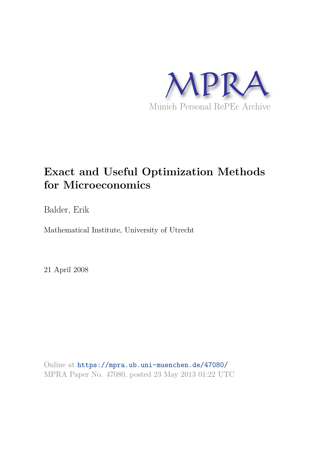

Balder, Erik

Mathematical Institute, University of Utrecht

21 April 2008

Online at https://mpra.ub.uni-muenchen.de/47080/ MPRA Paper No. 47080, posted 23 May 2013 01:22 UTC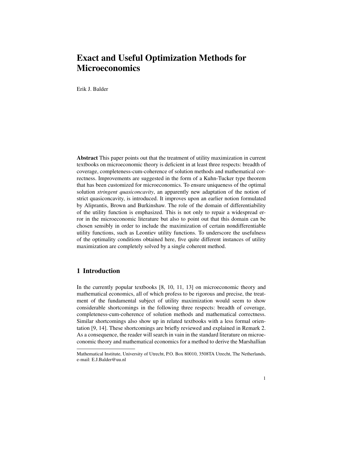Erik J. Balder

Abstract This paper points out that the treatment of utility maximization in current textbooks on microeconomic theory is deficient in at least three respects: breadth of coverage, completeness-cum-coherence of solution methods and mathematical correctness. Improvements are suggested in the form of a Kuhn-Tucker type theorem that has been customized for microeconomics. To ensure uniqueness of the optimal solution *stringent quasiconcavity*, an apparently new adaptation of the notion of strict quasiconcavity, is introduced. It improves upon an earlier notion formulated by Aliprantis, Brown and Burkinshaw. The role of the domain of differentiability of the utility function is emphasized. This is not only to repair a widespread error in the microeconomic literature but also to point out that this domain can be chosen sensibly in order to include the maximization of certain nondifferentiable utility functions, such as Leontiev utility functions. To underscore the usefulness of the optimality conditions obtained here, five quite different instances of utility maximization are completely solved by a single coherent method.

## 1 Introduction

In the currently popular textbooks [8, 10, 11, 13] on microeconomic theory and mathematical economics, all of which profess to be rigorous and precise, the treatment of the fundamental subject of utility maximization would seem to show considerable shortcomings in the following three respects: breadth of coverage, completeness-cum-coherence of solution methods and mathematical correctness. Similar shortcomings also show up in related textbooks with a less formal orientation [9, 14]. These shortcomings are briefly reviewed and explained in Remark 2. As a consequence, the reader will search in vain in the standard literature on microeconomic theory and mathematical economics for a method to derive the Marshallian

Mathematical Institute, University of Utrecht, P.O. Box 80010, 3508TA Utrecht, The Netherlands, e-mail: E.J.Balder@uu.nl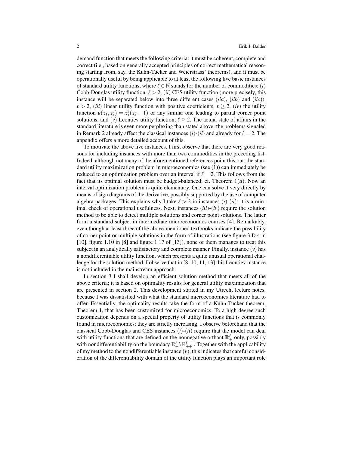demand function that meets the following criteria: it must be coherent, complete and correct (i.e., based on generally accepted principles of correct mathematical reasoning starting from, say, the Kuhn-Tucker and Weierstrass' theorems), and it must be operationally useful by being applicable to at least the following five basic instances of standard utility functions, where  $\ell \in \mathbb{N}$  stands for the number of commodities: (*i*) Cobb-Douglas utility function,  $\ell > 2$ , *(ii)* CES utility function (more precisely, this instance will be separated below into three different cases (*iia*), (*iib*) and (*iic*)),  $\ell > 2$ , *(iii)* linear utility function with positive coefficients,  $\ell \geq 2$ , *(iv)* the utility function  $u(x_1, x_2) = x_1^2(x_2 + 1)$  or any similar one leading to partial corner point solutions, and  $(v)$  Leontiev utility function,  $\ell \geq 2$ . The actual state of affairs in the standard literature is even more perplexing than stated above: the problems signaled in Remark 2 already affect the classical instances  $(i)$ - $(ii)$  and already for  $\ell = 2$ . The appendix offers a more detailed account of this.

To motivate the above five instances, I first observe that there are very good reasons for including instances with more than two commodities in the preceding list. Indeed, although not many of the aforementioned references point this out, the standard utility maximization problem in microeconomics (see (1)) can immediately be reduced to an optimization problem over an interval if  $\ell = 2$ . This follows from the fact that its optimal solution must be budget-balanced; cf. Theorem 1(*a*). Now an interval optimization problem is quite elementary. One can solve it very directly by means of sign diagrams of the derivative, possibly supported by the use of computer algebra packages. This explains why I take  $\ell > 2$  in instances  $(i)-(ii)$ : it is a minimal check of operational usefulness. Next, instances (*iii*)-(*iv*) require the solution method to be able to detect multiple solutions and corner point solutions. The latter form a standard subject in intermediate microeconomics courses [4]. Remarkably, even though at least three of the above-mentioned textbooks indicate the possibility of corner point or multiple solutions in the form of illustrations (see figure 3.D.4 in [10], figure 1.10 in [8] and figure 1.17 of [13]), none of them manages to treat this subject in an analytically satisfactory and complete manner. Finally, instance  $(v)$  has a nondifferentiable utility function, which presents a quite unusual operational challenge for the solution method. I observe that in [8, 10, 11, 13] this Leontiev instance is not included in the mainstream approach.

In section 3 I shall develop an efficient solution method that meets all of the above criteria; it is based on optimality results for general utility maximization that are presented in section 2. This development started in my Utrecht lecture notes, because I was dissatisfied with what the standard microeconomics literature had to offer. Essentially, the optimality results take the form of a Kuhn-Tucker theorem, Theorem 1, that has been customized for microeconomics. To a high degree such customization depends on a special property of utility functions that is commonly found in microeconomics: they are strictly increasing. I observe beforehand that the classical Cobb-Douglas and CES instances (*i*)-(*ii*) require that the model can deal with utility functions that are defined on the nonnegative orthant  $\mathbb{R}_+^{\ell}$  only, possibly with nondifferentiability on the boundary  $\mathbb{R}^{\ell}_+ \setminus \mathbb{R}^{\ell}_{++}$ . Together with the applicability of my method to the nondifferentiable instance  $(v)$ , this indicates that careful consideration of the differentiability domain of the utility function plays an important role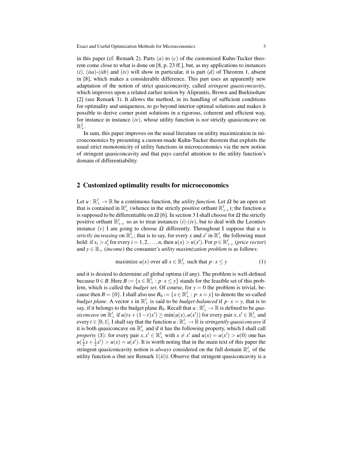in this paper (cf. Remark 2). Parts  $(a)$  to  $(c)$  of the customized Kuhn-Tucker theorem come close to what is done on [8, p. 23 ff.], but, as my applications to instances (*i*), (*iia*)-(*iib*) and (*iv*) will show in particular, it is part (*d*) of Theorem 1, absent in [8], which makes a considerable difference. This part uses an apparently new adaptation of the notion of strict quasiconcavity, called *stringent quasiconcavity*, which improves upon a related earlier notion by Aliprantis, Brown and Burkinshaw [2] (see Remark 3). It allows the method, in its handling of sufficient conditions for optimality and uniqueness, to go beyond interior optimal solutions and makes it possible to derive corner point solutions in a rigorous, coherent and efficient way, for instance in instance (*iv*), whose utility function is *not* strictly quasiconcave on  $\mathbb{R}^2_+.$ 

In sum, this paper improves on the usual literature on utility maximization in microeconomics by presenting a custom-made Kuhn-Tucker theorem that exploits the usual strict monotonicity of utility functions in microeconomics via the new notion of stringent quasiconcavity and that pays careful attention to the utility function's domain of differentiability.

#### 2 Customized optimality results for microeconomics

Let  $u : \mathbb{R}_+^{\ell} \to \mathbb{R}$  be a continuous function, the *utility function*. Let  $\Omega$  be an open set that is contained in  $\mathbb{R}_+^{\ell}$  (whence in the strictly positive orthant  $\mathbb{R}_{++}^{\ell}$ ); the function *u* is supposed to be differentiable on  $\Omega$  [6]. In section 3 I shall choose for  $\Omega$  the strictly positive orthant  $\mathbb{R}^{\ell}_{++}$  so as to treat instances (*i*)-(*iv*), but to deal with the Leontiev instance  $(v)$  I am going to choose  $\Omega$  differently. Throughout I suppose that *u* is *strictly increasing* on  $\mathbb{R}^{\ell}_+$ ; that is to say, for every *x* and  $x'$  in  $\mathbb{R}^{\ell}_+$  the following must hold: if  $x_i > x'_i$  for every  $i = 1, 2, ..., n$ , then  $u(x) > u(x')$ . For  $p \in \mathbb{R}^{\ell}_{++}$  (price vector) and  $y \in \mathbb{R}_+$  (*income*) the consumer's *utility maximization problem* is as follows:

maximize 
$$
u(x)
$$
 over all  $x \in \mathbb{R}_+^{\ell}$  such that  $p \cdot x \leq y$  (1)

and it is desired to determine *all* global optima (if any). The problem is well-defined because  $0 \in B$ . Here  $B := \{x \in \mathbb{R}_+^{\overline{\ell}} : p \cdot x \leq y\}$  stands for the feasible set of this problem, which is called the *budget set*. Of course, for  $y = 0$  the problem is trivial, because then  $B = \{0\}$ . I shall also use  $B_0 := \{x \in \mathbb{R}_+^{\ell} : p \cdot x = y\}$  to denote the so-called *budget plane.* A vector *x* in  $\mathbb{R}^{\ell}$  is said to be *budget-balanced* if  $p \cdot x = y$ , that is to say, if it belongs to the budget plane  $B_0$ . Recall that  $u : \mathbb{R}^\ell_+ \to \mathbb{R}$  is defined to be *qua*siconcave on  $\mathbb{R}_+^{\ell}$  if  $u(tx+(1-t)x') \ge \min(u(x), u(x'))$  for every pair  $x, x' \in \mathbb{R}_+^{\ell}$  and every  $t\in[0,1]$ . I shall say that the function  $u:\mathbb{R}_+^\ell\to\mathbb{R}$  is *stringently quasiconcave* if it is both quasiconcave on  $\mathbb{R}_+^{\ell}$  and if it has the following property, which I shall call *property* (*S*): for every pair  $x, x' \in \mathbb{R}_+^{\ell}$  with  $x \neq x'$  and  $u(x) = u(x') > u(0)$  one has  $u(\frac{1}{2}x + \frac{1}{2}x') > u(x) = u(x')$ . It is worth noting that in the main text of this paper the stringent quasiconcavity notion is *always* considered on the full domain  $\mathbb{R}^{\ell}_+$  of the utility function  $u$  (but see Remark  $1(ii)$ ). Observe that stringent quasiconcavity is a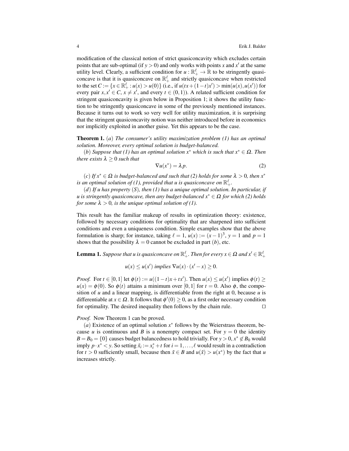modification of the classical notion of strict quasiconcavity which excludes certain points that are sub-optimal (if  $y > 0$ ) and only works with points x and  $x'$  at the same utility level. Clearly, a sufficient condition for  $u : \mathbb{R}_+^{\ell} \to \mathbb{R}$  to be stringently quasiconcave is that it is quasiconcave on  $\mathbb{R}^{\ell}_+$  and strictly quasiconcave when restricted to the set  $C := \{x \in \mathbb{R}_+^{\ell} : u(x) > u(0)\}$  (i.e., if  $u(tx + (1-t)x') > \min(u(x), u(x'))$  for every pair  $x, x' \in C$ ,  $x \neq x'$ , and every  $t \in (0,1)$ ). A related sufficient condition for stringent quasiconcavity is given below in Proposition 1; it shows the utility function to be stringently quasiconcave in some of the previously mentioned instances. Because it turns out to work so very well for utility maximization, it is surprising that the stringent quasiconcavity notion was neither introduced before in economics nor implicitly exploited in another guise. Yet this appears to be the case.

Theorem 1. (*a*) *The consumer's utility maximization problem (1) has an optimal solution. Moreover, every optimal solution is budget-balanced.*

(*b*) *Suppose that (1) has an optimal solution x*<sup>∗</sup> *which is such that x*<sup>∗</sup> ∈ Ω*. Then there exists*  $\lambda \geq 0$  *such that* 

$$
\nabla u(x^*) = \lambda p. \tag{2}
$$

(*c*) *If x*<sup>∗</sup> ∈ Ω *is budget-balanced and such that (2) holds for some* λ > 0*, then x*<sup>∗</sup> is an optimal solution of (1), provided that *u* is quasiconcave on  $\mathbb{R}^\ell_+.$ 

(*d*) *If u has property* (*S*)*, then (1) has a unique optimal solution. In particular, if u is stringently quasiconcave, then any budget-balanced x*<sup>∗</sup> ∈ Ω *for which (2) holds for some*  $\lambda > 0$ *, is the unique optimal solution of (1).* 

This result has the familiar makeup of results in optimization theory: existence, followed by necessary conditions for optimality that are sharpened into sufficient conditions and even a uniqueness condition. Simple examples show that the above formulation is sharp; for instance, taking  $\ell = 1$ ,  $u(x) := (x - 1)^3$ ,  $y = 1$  and  $p = 1$ shows that the possibility  $\lambda = 0$  cannot be excluded in part (*b*), etc.

**Lemma 1.** Suppose that u is quasiconcave on  $\mathbb{R}^\ell_+$  . Then for every  $x \in \Omega$  and  $x' \in \mathbb{R}^\ell_+$ 

$$
u(x) \le u(x') \implies \nabla u(x) \cdot (x'-x) \ge 0.
$$

*Proof.* For  $t \in [0,1]$  let  $\phi(t) := u((1-t)x + tx')$ . Then  $u(x) \le u(x')$  implies  $\phi(t) \ge$  $u(x) = \phi(0)$ . So  $\phi(t)$  attains a minimum over [0,1] for  $t = 0$ . Also  $\phi$ , the composition of  $u$  and a linear mapping, is differentiable from the right at 0, because  $u$  is differentiable at  $x \in \Omega$ . It follows that  $\phi'(0) \ge 0$ , as a first order necessary condition for optimality. The desired inequality then follows by the chain rule. ⊓⊔

*Proof.* Now Theorem 1 can be proved.

( $a$ ) Existence of an optimal solution  $x^*$  follows by the Weierstrass theorem, because *u* is continuous and *B* is a nonempty compact set. For  $y = 0$  the identity  $B = B_0 = \{0\}$  causes budget balancedness to hold trivially. For  $y > 0$ ,  $x^* \notin B_0$  would imply  $p \cdot x^* < y$ . So setting  $\tilde{x}_i := x_i^* + t$  for  $i = 1, ..., \ell$  would result in a contradiction for *t* > 0 sufficiently small, because then  $\tilde{x} \in B$  and  $u(\tilde{x}) > u(x^*)$  by the fact that *u* increases strictly.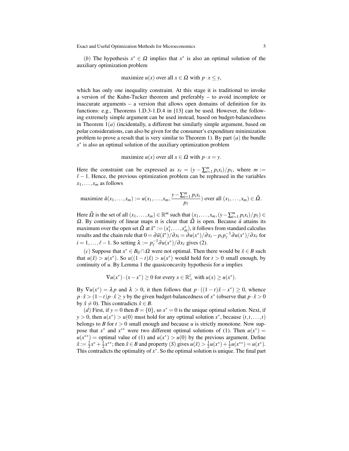(*b*) The hypothesis  $x^* \in \Omega$  implies that  $x^*$  is also an optimal solution of the auxiliary optimization problem

maximize 
$$
u(x)
$$
 over all  $x \in \Omega$  with  $p \cdot x \leq y$ ,

which has only one inequality constraint. At this stage it is traditional to invoke a version of the Kuhn-Tucker theorem and preferably – to avoid incomplete or inaccurate arguments – a version that allows open domains of definition for its functions: e.g., Theorems 1.D.3-1.D.4 in [13] can be used. However, the following extremely simple argument can be used instead, based on budget-balancedness in Theorem 1(*a*) (incidentally, a different but similarly simple argument, based on polar considerations, can also be given for the consumer's expenditure minimization problem to prove a result that is very similar to Theorem 1). By part (*a*) the bundle *x* ∗ is also an optimal solution of the auxiliary optimization problem

maximize  $u(x)$  over all  $x \in \Omega$  with  $p \cdot x = y$ .

Here the constraint can be expressed as  $x_{\ell} = (y - \sum_{i=1}^{m} p_i x_i)/p_{\ell}$ , where  $m :=$  $\ell - 1$ . Hence, the previous optimization problem can be rephrased in the variables  $x_1, \ldots, x_m$  as follows

maximize 
$$
\tilde{u}(x_1,...,x_m) := u(x_1,...,x_m, \frac{y - \sum_{i=1}^m p_i x_i}{p_\ell})
$$
 over all  $(x_1,...,x_m) \in \tilde{\Omega}$ .

Here  $\tilde{\Omega}$  is the set of all  $(x_1,...,x_m) \in \mathbb{R}^m$  such that  $(x_1,...,x_m,(y-\sum_{i=1}^m p_i x_i)/p_\ell) \in$  $Ω$ . By continuity of linear maps it is clear that  $\tilde{Ω}$  is open. Because  $\tilde{u}$  attains its maximum over the open set  $\tilde{\Omega}$  at  $\tilde{x}^* := (x_1^*, \ldots, x_m^*)$ , it follows from standard calculus results and the chain rule that  $0 = \frac{\partial u(x^*)}{\partial x_i} = \frac{\partial u(x^*)}{\partial x_i} - p_i p_\ell^{-1} \frac{\partial u(x^*)}{\partial x_\ell}$  for  $i = 1, \ldots, \ell - 1$ . So setting  $\lambda := p_{\ell}^{-1} \partial u(x^*) / \partial x_{\ell}$  gives (2).

(*c*) Suppose that *x*<sup>\*</sup> ∈ *B*<sub>0</sub> ∩ Ω were not optimal. Then there would be  $\hat{x}$  ∈ *B* such that  $u(\hat{x}) > u(x^*)$ . So  $u((1-t)\hat{x}) > u(x^*)$  would hold for  $t > 0$  small enough, by continuity of *u*. By Lemma 1 the quasiconcavity hypothesis for *u* implies

$$
\nabla u(x^*) \cdot (x - x^*) \ge 0 \text{ for every } x \in \mathbb{R}_+^{\ell} \text{ with } u(x) \ge u(x^*).
$$

By  $\nabla u(x^*) = \lambda p$  and  $\lambda > 0$ , it then follows that  $p \cdot ((1 - t)\hat{x} - x^*) \ge 0$ , whence  $p \cdot \hat{x}$  >  $(1-t)p \cdot \hat{x} \ge y$  by the given budget-balancedness of  $x^*$  (observe that  $p \cdot \hat{x}$  > 0 by  $\hat{x} \neq 0$ ). This contradicts  $\hat{x} \in B$ .

(*d*) First, if  $y = 0$  then  $B = \{0\}$ , so  $x^* = 0$  is the unique optimal solution. Next, if *y* > 0, then  $u(x^*)$  >  $u(0)$  must hold for any optimal solution  $x^*$ , because  $(t, t, ..., t)$ belongs to *B* for  $t > 0$  small enough and because *u* is strictly monotone. Now suppose that  $x^*$  and  $x^{**}$  were two different optimal solutions of (1). Then  $u(x^*) =$  $u(x^{**})$  = optimal value of (1) and  $u(x^*) > u(0)$  by the previous argument. Define  $\hat{x} := \frac{1}{2}x^* + \frac{1}{2}x^{**}$ ; then  $\hat{x} \in B$  and property (*S*) gives  $u(\hat{x}) > \frac{1}{2}u(x^*) + \frac{1}{2}u(x^{**}) = u(x^*)$ . This contradicts the optimality of *x* ∗ . So the optimal solution is unique. The final part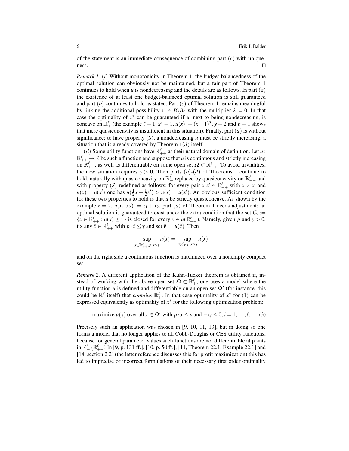of the statement is an immediate consequence of combining part  $(c)$  with uniqueness. ⊓⊔

*Remark 1.* (*i*) Without monotonicity in Theorem 1, the budget-balancedness of the optimal solution can obviously not be maintained, but a fair part of Theorem 1 continues to hold when *u* is nondecreasing and the details are as follows. In part (*a*) the existence of at least one budget-balanced optimal solution is still guaranteed and part (*b*) continues to hold as stated. Part (*c*) of Theorem 1 remains meaningful by linking the additional possibility  $x^* \in B \backslash B_0$  with the multiplier  $\lambda = 0$ . In that case the optimality of  $x^*$  can be guaranteed if  $u$ , next to being nondecreasing, is concave on  $\mathbb{R}^{\ell}$  (the example  $\ell = 1$ ,  $x^* = 1$ ,  $u(x) := (x - 1)^3$ ,  $y = 2$  and  $p = 1$  shows that mere quasiconcavity is insufficient in this situation). Finally, part (*d*) is without significance: to have property  $(S)$ , a nondecreasing  $u$  must be strictly increasing, a situation that is already covered by Theorem 1(*d*) itself.

(*ii*) Some utility functions have  $\mathbb{R}^{\ell}_{++}$  as their natural domain of definition. Let *u*:  $\mathbb{R}^{\ell}_{++} \to \mathbb{R}$  be such a function and suppose that *u* is continuous and strictly increasing on  $\mathbb{R}^\ell_{++}$ , as well as differentiable on some open set  $\Omega \subset \mathbb{R}^\ell_{++}$ . To avoid trivialities, the new situation requires  $y > 0$ . Then parts  $(b)-(d)$  of Theorems 1 continue to hold, naturally with quasiconcavity on  $\mathbb{R}^{\ell}_+$  replaced by quasiconcavity on  $\mathbb{R}^{\ell}_{++}$  and with property (*S*) redefined as follows: for every pair  $x, x' \in \mathbb{R}^{\ell}_{++}$  with  $x \neq x'$  and  $u(x) = u(x')$  one has  $u(\frac{1}{2}x + \frac{1}{2}x') > u(x) = u(x')$ . An obvious sufficient condition for these two properties to hold is that *u* be strictly quasiconcave. As shown by the example  $\ell = 2$ ,  $u(x_1, x_2) := x_1 + x_2$ , part (*a*) of Theorem 1 needs adjustment: an optimal solution is guaranteed to exist under the extra condition that the set  $C_v$ :=  $\{x \in \mathbb{R}^{\ell}_{++} : u(x) \ge v\}$  is closed for every  $v \in u(\mathbb{R}^{\ell}_{++})$ . Namely, given p and  $y > 0$ , fix any  $\bar{x} \in \mathbb{R}_{++}^{\ell}$  with  $p \cdot \bar{x} \le y$  and set  $\bar{v} := u(\bar{x})$ . Then

$$
\sup_{x \in \mathbb{R}^\ell_{++}, p \cdot x \le y} u(x) = \sup_{x \in C_{\bar{v}}, p \cdot x \le y} u(x)
$$

and on the right side a continuous function is maximized over a nonempty compact set.

*Remark 2.* A different application of the Kuhn-Tucker theorem is obtained if, instead of working with the above open set  $\Omega \subset \mathbb{R}^{\ell}_+$ , one uses a model where the utility function  $u$  is defined and differentiable on an open set  $\Omega'$  (for instance, this could be  $\mathbb{R}^{\ell}$  itself) that *contains*  $\mathbb{R}^{\ell}_+$ . In that case optimality of  $x^*$  for (1) can be expressed equivalently as optimality of  $x^*$  for the following optimization problem:

maximize 
$$
u(x)
$$
 over all  $x \in \Omega'$  with  $p \cdot x \le y$  and  $-x_i \le 0$ ,  $i = 1, ..., \ell$ . (3)

Precisely such an application was chosen in [9, 10, 11, 13], but in doing so one forms a model that no longer applies to all Cobb-Douglas or CES utility functions, because for general parameter values such functions are not differentiable at points in  $\mathbb{R}^{\ell}_+ \setminus \mathbb{R}^{\ell}_{++}$ ! In [9, p. 131 ff.], [10, p. 50 ff.], [11, Theorem 22.1, Example 22.1] and [14, section 2.2] (the latter reference discusses this for profit maximization) this has led to imprecise or incorrect formulations of their necessary first order optimality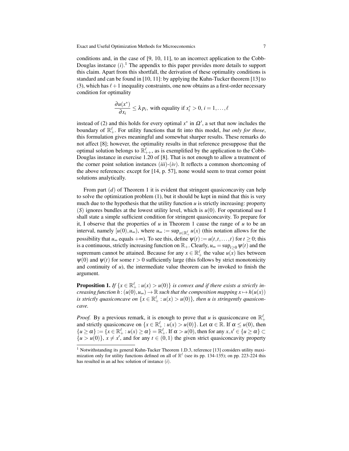conditions and, in the case of [9, 10, 11], to an incorrect application to the Cobb-Douglas instance  $(i)$ .<sup>1</sup> The appendix to this paper provides more details to support this claim. Apart from this shortfall, the derivation of these optimality conditions is standard and can be found in [10, 11]: by applying the Kuhn-Tucker theorem [13] to (3), which has  $\ell+1$  inequality constraints, one now obtains as a first-order necessary condition for optimality

$$
\frac{\partial u(x^*)}{\partial x_i} \leq \lambda p_i
$$
, with equality if  $x_i^* > 0$ ,  $i = 1, ..., \ell$ 

instead of (2) and this holds for every optimal  $x^*$  in  $\Omega'$ , a set that now includes the boundary of  $\mathbb{R}^{\ell}_+$ . For utility functions that fit into this model, *but only for those*, this formulation gives meaningful and somewhat sharper results. These remarks do not affect [8]; however, the optimality results in that reference presuppose that the optimal solution belongs to  $\mathbb{R}^{\ell}_{++}$ , as is exemplified by the application to the Cobb-Douglas instance in exercise 1.20 of [8]. That is not enough to allow a treatment of the corner point solution instances  $(iii)-(iv)$ . It reflects a common shortcoming of the above references: except for [14, p. 57], none would seem to treat corner point solutions analytically.

From part (*d*) of Theorem 1 it is evident that stringent quasiconcavity can help to solve the optimization problem (1), but it should be kept in mind that this is very much due to the hypothesis that the utility function  $u$  is strictly increasing: property (*S*) ignores bundles at the lowest utility level, which is *u*(0). For operational use I shall state a simple sufficient condition for stringent quasiconcavity. To prepare for it, I observe that the properties of  $u$  in Theorem 1 cause the range of  $u$  to be an interval, namely  $[u(0), u_{\infty})$ , where  $u_{\infty} := \sup_{x \in \mathbb{R}^{\ell}_+} u(x)$  (this notation allows for the possibility that  $u_{\infty}$  equals  $+\infty$ ). To see this, define  $\psi(t) := u(t,t,\ldots,t)$  for  $t \geq 0$ ; this is a continuous, strictly increasing function on  $\mathbb{R}_+$ . Clearly,  $u_{\infty} = \sup_{t>0} \psi(t)$  and the supremum cannot be attained. Because for any  $x \in \mathbb{R}^{\ell}_+$  the value  $u(x)$  lies between  $\psi(0)$  and  $\psi(t)$  for some  $t > 0$  sufficiently large (this follows by strict monotonicity and continuity of  $u$ ), the intermediate value theorem can be invoked to finish the argument.

**Proposition 1.** *If*  $\{x \in \mathbb{R}^{\ell} : u(x) > u(0)\}$  *is convex and if there exists a strictly increasing function h* :  $(u(0), u_{\infty}) \to \mathbb{R}$  *such that the composition mapping*  $x \mapsto h(u(x))$ *is strictly quasiconcave on*  $\{x \in \mathbb{R}_+^{\ell} : u(x) > u(0)\}$ , then u is stringently quasicon*cave.*

*Proof.* By a previous remark, it is enough to prove that *u* is quasiconcave on  $\mathbb{R}^{\ell}_+$ and strictly quasiconcave on  $\{x \in \mathbb{R}^{\ell}_+ : u(x) > u(0)\}$ . Let  $\alpha \in \mathbb{R}$ . If  $\alpha \le u(0)$ , then  ${u \ge \alpha} := {x \in \mathbb{R}_+^{\ell} : u(x) \ge \alpha} = \mathbb{R}_+^{\ell}$ . If  $\alpha > u(0)$ , then for any  $x, x' \in {u \ge \alpha} \subset$  $\{u > u(0)\}\$ ,  $x \neq x'$ , and for any  $t \in (0,1)$  the given strict quasiconcavity property

<sup>&</sup>lt;sup>1</sup> Notwithstanding its general Kuhn-Tucker Theorem 1.D.3, reference [13] considers utility maximization only for utility functions defined on all of  $\mathbb{R}^{\ell}$  (see its pp. 134-135); on pp. 223-224 this has resulted in an ad hoc solution of instance (*i*).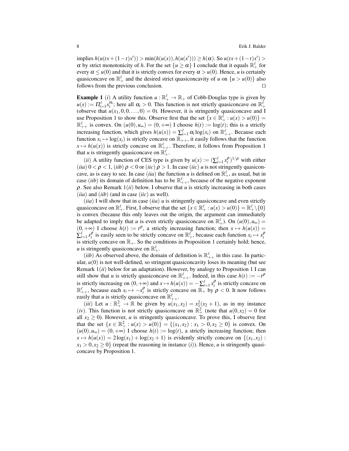implies  $h(u(tx + (1-t)x')) > min(h(u(x)), h(u(x'))) ≥ h(α)$ . So  $u(tx + (1-t)x') >$  $\alpha$  by strict monotonicity of *h*. For the set  $\{u \ge \alpha\}$  I conclude that it equals  $\mathbb{R}^{\ell}_+$  for every  $\alpha \leq u(0)$  and that it is strictly convex for every  $\alpha > u(0)$ . Hence, *u* is certainly quasiconcave on  $\mathbb{R}^{\ell}_+$  and the desired strict quasiconcavity of *u* on  $\{u > u(0)\}\)$  also follows from the previous conclusion. ⊓⊔

**Example 1** (*i*) A utility function  $u : \mathbb{R}^{\ell} \to \mathbb{R}$  of Cobb-Douglas type is given by  $u(x) := \prod_{i=1}^{\ell} x_i^{\alpha_i}$ ; here all  $\alpha_i > 0$ . This function is not strictly quasiconcave on  $\mathbb{R}^{\ell}_+$ (observe that  $u(x_1,0,0,\ldots,0) = 0$ ). However, it is stringently quasiconcave and I use Proposition 1 to show this. Observe first that the set  $\{x \in \mathbb{R}_+^{\ell} : u(x) > u(0)\}$  $\mathbb{R}^{\ell}_{++}$  is convex. On  $(u(0), u_{\infty}) = (0, +\infty)$  I choose  $h(t) := \log(t)$ ; this is a strictly increasing function, which gives  $h(u(x)) = \sum_{i=1}^{\ell} \alpha_i \log(x_i)$  on  $\mathbb{R}^{\ell}_{++}$ . Because each function  $x_i \mapsto \log(x_i)$  is strictly concave on  $\mathbb{R}_{++}$ , it easily follows that the function  $x \mapsto h(u(x))$  is strictly concave on  $\mathbb{R}^{\ell}_{++}$ . Therefore, it follows from Proposition 1 that *u* is stringently quasiconcave on  $\mathbb{R}^{\ell}_+$ .

(*ii*) A utility function of CES type is given by  $u(x) := (\sum_{i=1}^{\ell} x_i^{\rho})^{1/\rho}$  with either (*iia*)  $0 < \rho < 1$ , (*iib*)  $\rho < 0$  or (*iic*)  $\rho > 1$ . In case (*iic*) *u* is not stringently quasiconcave, as is easy to see. In case *(iia)* the function *u* is defined on  $\mathbb{R}^{\ell}_+$ , as usual, but in case *(iib)* its domain of definition has to be  $\mathbb{R}^{\ell}_{++}$ , because of the negative exponent  $\rho$ . See also Remark  $1(ii)$  below. I observe that *u* is strictly increasing in both cases (*iia*) and (*iib*) (and in case (*iic*) as well).

(*iia*) I will show that in case (*iia*) *u* is stringently quasiconcave and even strictly quasiconcave on  $\mathbb{R}^{\ell}_+$ . First, I observe that the set  $\{x \in \mathbb{R}^{\ell}_+ : u(x) > u(0)\} = \mathbb{R}^{\ell}_+ \setminus \{0\}$ is convex (because this only leaves out the origin, the argument can immediately be adapted to imply that *u* is even strictly quasiconcave on  $\mathbb{R}^{\ell}_+$ ). On  $(u(0), u_{\infty}) =$  $(0, +\infty)$  I choose  $h(t) := t^{\rho}$ , a strictly increasing function; then  $x \mapsto h(u(x)) =$  $\sum_{i=1}^{\ell} x_i^{\rho}$  is easily seen to be strictly concave on  $\mathbb{R}^{\ell}$ , because each function  $x_i \mapsto x_i^{\rho}$ is strictly concave on  $\mathbb{R}_+$ . So the conditions in Proposition 1 certainly hold; hence, *u* is stringently quasiconcave on  $\mathbb{R}^{\ell}_+$ .

(*iib*) As observed above, the domain of definition is  $\mathbb{R}^{\ell}_{++}$  in this case. In particular,  $u(0)$  is not well-defined, so stringent quasiconcavity loses its meaning (but see Remark 1(*ii*) below for an adaptation). However, by analogy to Proposition 1 I can still show that *u* is strictly quasiconcave on  $\mathbb{R}^{\ell}_{++}$ . Indeed, in this case  $h(t) := -t^{\rho}$ is strictly increasing on  $(0, +\infty)$  and  $x \mapsto h(u(x)) = -\sum_{i=1}^{\ell} x_i^{\rho}$  is strictly concave on  $\mathbb{R}^{\ell}_{++}$ , because each  $x_i \mapsto -x_i^{\rho}$  is strictly concave on  $\mathbb{R}_+$  by  $\rho < 0$ . It now follows easily that *u* is strictly quasiconcave on  $\mathbb{R}^{\ell}_{++}$ .

(*iii*) Let  $u : \mathbb{R}^2_+ \to \mathbb{R}$  be given by  $u(x_1, x_2) = x_1^2(x_2 + 1)$ , as in my instance (*iv*). This function is not strictly quasiconcave on  $\mathbb{R}^2_+$  (note that  $u(0,x_2) = 0$  for all  $x_2 \geq 0$ ). However, *u* is stringently quasiconcave. To prove this, I observe first that the set  $\{x \in \mathbb{R}^2_+ : u(x) > u(0)\} = \{(x_1, x_2) : x_1 > 0, x_2 \ge 0\}$  is convex. On  $(u(0), u_{\infty}) = (0, +\infty)$  I choose  $h(t) := \log(t)$ , a strictly increasing function; then  $x \mapsto h(u(x)) = 2\log(x_1) + \log(x_2 + 1)$  is evidently strictly concave on  $\{(x_1, x_2):$  $x_1 > 0, x_2 \geq 0$  (repeat the reasoning in instance *(i)*). Hence, *u* is stringently quasiconcave by Proposition 1.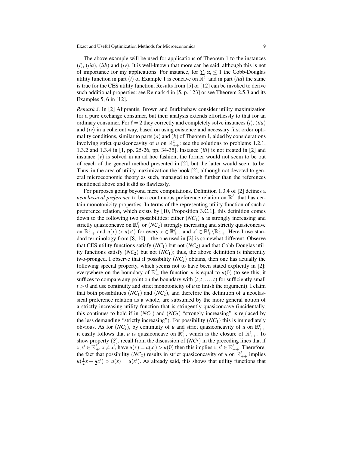The above example will be used for applications of Theorem 1 to the instances (*i*), (*iia*), (*iib*) and (*iv*). It is well-known that more can be said, although this is not of importance for my applications. For instance, for  $\sum_i \alpha_i \leq 1$  the Cobb-Douglas utility function in part (*i*) of Example 1 is concave on  $\mathbb{R}^{\ell}_+$  and in part (*iia*) the same is true for the CES utility function. Results from [5] or [12] can be invoked to derive such additional properties: see Remark 4 in [5, p. 123] or see Theorem 2.5.3 and its Examples 5, 6 in [12].

*Remark 3.* In [2] Aliprantis, Brown and Burkinshaw consider utility maximization for a pure exchange consumer, but their analysis extends effortlessly to that for an ordinary consumer. For  $\ell = 2$  they correctly and completely solve instances (*i*), (*iia*) and (*iv*) in a coherent way, based on using existence and necessary first order optimality conditions, similar to parts  $(a)$  and  $(b)$  of Theorem 1, aided by considerations involving strict quasiconcavity of *u* on  $\mathbb{R}^2_{++}$ : see the solutions to problems 1.2.1, 1.3.2 and 1.3.4 in [1, pp. 25-26, pp. 34-35]. Instance (*iii*) is not treated in [2] and instance  $(v)$  is solved in an ad hoc fashion; the former would not seem to be out of reach of the general method presented in [2], but the latter would seem to be. Thus, in the area of utility maximization the book [2], although not devoted to general microeconomic theory as such, managed to reach further than the references mentioned above and it did so flawlessly.

For purposes going beyond mere computations, Definition 1.3.4 of [2] defines a *neoclassical preference* to be a continuous preference relation on  $\mathbb{R}^{\ell}_+$  that has certain monotonicity properties. In terms of the representing utility function of such a preference relation, which exists by [10, Proposition 3.C.1], this definition comes down to the following two possibilities: either (*NC*1) *u* is strongly increasing and strictly quasiconcave on  $\mathbb{R}_+^{\ell}$  or  $(NC_2)$  strongly increasing and strictly quasiconcave on  $\mathbb{R}^{\ell}_{++}$  and  $u(x) > u(x')$  for every  $x \in \mathbb{R}^{\ell}_{++}$  and  $x' \in \mathbb{R}^{\ell}_{+} \setminus \mathbb{R}^{\ell}_{++}$ . Here I use standard terminology from  $[8, 10]$  – the one used in  $[2]$  is somewhat different. Observe that CES utility functions satisfy  $(NC_1)$  but not  $(NC_2)$  and that Cobb-Douglas utility functions satisfy  $(NC_2)$  but not  $(NC_1)$ ; thus, the above definition is inherently two-pronged. I observe that if possibility  $(NC_2)$  obtains, then one has actually the following special property, which seems not to have been stated explicitly in [2]: everywhere on the boundary of  $\mathbb{R}^{\ell}_+$  the function *u* is equal to *u*(0) (to see this, it suffices to compare any point on the boundary with  $(t, t, \ldots, t)$  for sufficiently small  $t > 0$  and use continuity and strict monotonicity of  $u$  to finish the argument). I claim that both possibilities  $(NC_1)$  and  $(NC_2)$ , and therefore the definition of a neoclassical preference relation as a whole, are subsumed by the more general notion of a strictly increasing utility function that is stringently quasiconcave (incidentally, this continues to hold if in  $(NC_1)$  and  $(NC_2)$  "strongly increasing" is replaced by the less demanding "strictly increasing"). For possibility  $(NC_1)$  this is immediately obvious. As for  $(NC_2)$ , by continuity of *u* and strict quasiconcavity of *u* on  $\mathbb{R}^{\ell}_{++}$ it easily follows that *u* is quasiconcave on  $\mathbb{R}^{\ell}_+$ , which is the closure of  $\mathbb{R}^{\ell}_{++}$ . To show property  $(S)$ , recall from the discussion of  $(NC_2)$  in the preceding lines that if  $x, x' \in \mathbb{R}^{\ell}_+, x \neq x'$ , have  $u(x) = u(x') > u(0)$  then this implies  $x, x' \in \mathbb{R}^{\ell}_+$ . Therefore, the fact that possibility  $(NC_2)$  results in strict quasiconcavity of *u* on  $\mathbb{R}^{\ell}_{++}$  implies  $u(\frac{1}{2}x + \frac{1}{2}x') > u(x) = u(x')$ . As already said, this shows that utility functions that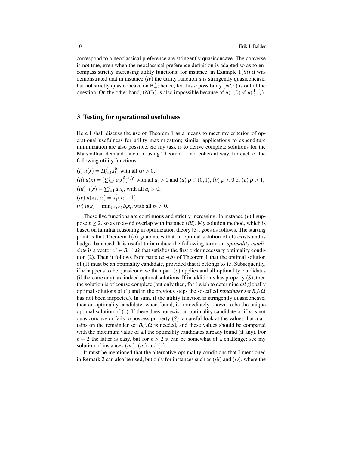correspond to a neoclassical preference are stringently quasiconcave. The converse is not true, even when the neoclassical preference definition is adapted so as to encompass strictly increasing utility functions: for instance, in Example 1(*iii*) it was demonstrated that in instance  $(iv)$  the utility function  $u$  is stringently quasiconcave, but not strictly quasiconcave on  $\mathbb{R}^2_+$ ; hence, for this *u* possibility  $(NC_1)$  is out of the question. On the other hand,  $(NC_2)$  is also impossible because of  $u(1,0) \nless u(\frac{1}{2},\frac{1}{2})$ .

#### 3 Testing for operational usefulness

Here I shall discuss the use of Theorem 1 as a means to meet my criterion of operational usefulness for utility maximization; similar applications to expenditure minimization are also possible. So my task is to derive complete solutions for the Marshallian demand function, using Theorem 1 in a coherent way, for each of the following utility functions:

 $(i)$   $u(x) = \prod_{i=1}^{\ell} x_i^{\alpha_i}$  with all  $\alpha_i > 0$ ,  $(iii) u(x) = (\sum_{i=1}^{\ell} a_i x_i^{\rho})^{1/\rho}$  with all  $a_i > 0$  and  $(a) \rho \in (0,1)$ ,  $(b) \rho < 0$  or  $(c) \rho > 1$ ,  $(iii) u(x) = \sum_{i=1}^{\ell} a_i x_i$ , with all  $a_i > 0$ ,  $(iv) u(x_1, x_2) = x_1^2(x_2 + 1),$  $(v)$   $u(x) = \min_{1 \leq i \leq \ell} b_i x_i$ , with all  $b_i > 0$ .

These five functions are continuous and strictly increasing. In instance  $(v)$  I suppose  $\ell \geq 2$ , so as to avoid overlap with instance *(iii)*. My solution method, which is based on familiar reasoning in optimization theory [3], goes as follows. The starting point is that Theorem 1(*a*) guarantees that an optimal solution of (1) exists and is budget-balanced. It is useful to introduce the following term: an *optimality candidate* is a vector  $x^* \in B_0 \cap \Omega$  that satisfies the first order necessary optimality condition (2). Then it follows from parts  $(a)-(b)$  of Theorem 1 that the optimal solution of (1) must be an optimality candidate, provided that it belongs to  $\Omega$ . Subsequently, if  $u$  happens to be quasiconcave then part  $(c)$  applies and all optimality candidates (if there are any) are indeed optimal solutions. If in addition  $u$  has property  $(S)$ , then the solution is of course complete (but only then, for I wish to determine *all* globally optimal solutions of (1) and in the previous steps the so-called *remainder set*  $B_0 \backslash \Omega$ has not been inspected). In sum, if the utility function is stringently quasiconcave, then an optimality candidate, when found, is immediately known to be the unique optimal solution of (1). If there does not exist an optimality candidate or if *u* is not quasiconcave or fails to possess property (*S*), a careful look at the values that *u* attains on the remainder set  $B_0 \backslash \Omega$  is needed, and these values should be compared with the maximum value of all the optimality candidates already found (if any). For  $\ell = 2$  the latter is easy, but for  $\ell > 2$  it can be somewhat of a challenge: see my solution of instances (*iic*), (*iii*) and (*v*).

It must be mentioned that the alternative optimality conditions that I mentioned in Remark 2 can also be used, but only for instances such as (*iii*) and (*iv*), where the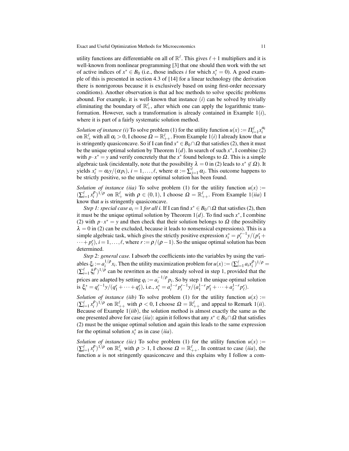utility functions are differentiable on all of  $\mathbb{R}^{\ell}$ . This gives  $\ell + 1$  multipliers and it is well-known from nonlinear programming [3] that one should then work with the set of active indices of  $x^* \in B_0$  (i.e., those indices *i* for which  $x_i^* = 0$ ). A good example of this is presented in section 4.3 of [14] for a linear technology (the derivation there is nonrigorous because it is exclusively based on using first-order necessary conditions). Another observation is that ad hoc methods to solve specific problems abound. For example, it is well-known that instance (*i*) can be solved by trivially eliminating the boundary of  $\mathbb{R}^{\ell}_+$ , after which one can apply the logarithmic transformation. However, such a transformation is already contained in Example 1(*i*), where it is part of a fairly systematic solution method.

*Solution of instance (i)* To solve problem (1) for the utility function  $u(x) := \prod_{i=1}^{\ell} x_i^{\alpha_i}$ on  $\mathbb{R}_+^{\ell}$  with all  $\alpha_i > 0$ , I choose  $\Omega = \mathbb{R}_{++}^{\ell}$ . From Example 1(*i*) I already know that *u* is stringently quasiconcave. So if I can find  $x^* \in B_0 \cap \Omega$  that satisfies (2), then it must be the unique optimal solution by Theorem  $1(d)$ . In search of such  $x^*$ , I combine (2) with  $p \cdot x^* = y$  and verify concretely that the  $x^*$  found belongs to  $\Omega$ . This is a simple algebraic task (incidentally, note that the possibility  $\lambda = 0$  in (2) leads to  $x^* \notin \Omega$ ). It yields  $x_i^* = \alpha_i y/(\alpha p_i)$ ,  $i = 1, ..., \ell$ , where  $\alpha := \sum_{j=1}^{\ell} \alpha_j$ . This outcome happens to be strictly positive, so the unique optimal solution has been found.

*Solution of instance (iia)* To solve problem (1) for the utility function  $u(x)$  :=  $(\sum_{i=1}^{\ell} x_i^{\rho})^{1/\rho}$  on  $\mathbb{R}_+^{\ell}$  with  $\rho \in (0,1)$ , I choose  $\Omega = \mathbb{R}_{++}^{\ell}$ . From Example 1(*iia*) I know that *u* is stringently quasiconcave.

*Step 1: special case*  $a_i = 1$  *<i>for all i.* If I can find  $x^* \in B_0 \cap \Omega$  that satisfies (2), then it must be the unique optimal solution by Theorem  $1(d)$ . To find such  $x^*$ , I combine (2) with  $p \cdot x^* = y$  and then check that their solution belongs to  $\Omega$  (the possibility  $\lambda = 0$  in (2) can be excluded, because it leads to nonsensical expressions). This is a simple algebraic task, which gives the strictly positive expression  $x_i^* = p_i^{r-1} y/(p_1^r + p_2^r)$  $\dots + p_{\ell}^{r}$ ,  $i = 1, \dots, \ell$ , where  $r := \rho/(\rho - 1)$ . So the unique optimal solution has been determined.

*Step 2: general case.* I absorb the coefficients into the variables by using the variables  $\xi_i := a_i^{1/\rho}$  $i^{1/\rho}x_i$ . Then the utility maximization problem for  $u(x) := (\sum_{i=1}^{\ell} a_i x_i^{\rho})^{1/\rho} =$  $(\sum_{i=1}^{\ell} \xi_i^{\rho})^{1/\rho}$  can be rewritten as the one already solved in step 1, provided that the prices are adapted by setting  $q_i := a_i^{-1/\rho}$  $i^{(n)} p_i$ . So by step 1 the unique optimal solution is  $\xi_i^* = q_i^{r-1} y/(q_1^r + \dots + q_\ell^r)$ , i.e.,  $x_i^* = a_i^{1-r} p_i^{r-1} y/(a_1^{1-r} p_1^r + \dots + a_\ell^{1-r} p_\ell^r)$ .

*Solution of instance (iib)* To solve problem (1) for the utility function  $u(x)$  :=  $(\sum_{i=1}^{\ell} x_i^{\rho})^{1/\rho}$  on  $\mathbb{R}^{\ell}_{++}$  with  $\rho < 0$ , I choose  $\Omega = \mathbb{R}^{\ell}_{++}$  and appeal to Remark 1(*ii*). Because of Example 1(*iib*), the solution method is almost exactly the same as the one presented above for case (*iia*): again it follows that any  $x^* \in B_0 \cap \Omega$  that satisfies (2) must be the unique optimal solution and again this leads to the same expression for the optimal solution  $x_i^*$  as in case (*iia*).

*Solution of instance (iic)* To solve problem (1) for the utility function  $u(x)$  :=  $(\sum_{i=1}^{\ell} x_i^{\rho})^{1/\rho}$  on  $\mathbb{R}_+^{\ell}$  with  $\rho > 1$ , I choose  $\Omega = \mathbb{R}_{++}^{\ell}$ . In contrast to case *(iia)*, the function  $u$  is not stringently quasiconcave and this explains why I follow a com-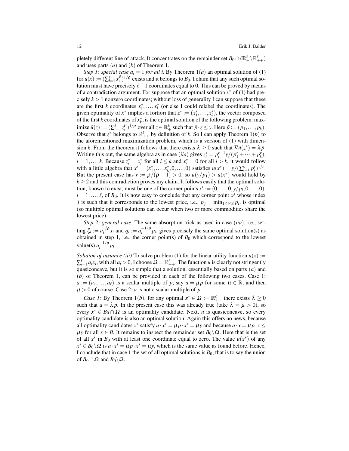pletely different line of attack. It concentrates on the remainder set  $B_0 \cap (\mathbb{R}_+^\ell \setminus \mathbb{R}_{++}^\ell)$ and uses parts (*a*) and (*b*) of Theorem 1.

*Step 1: special case*  $a_i = 1$  *for all i. By Theorem*  $1(a)$  an optimal solution of (1) for  $u(x) := (\sum_{i=1}^{\ell} x_i^{\rho})^{1/\rho}$  exists and it belongs to  $B_0$ . I claim that any such optimal solution must have precisely  $\ell-1$  coordinates equal to 0. This can be proved by means of a contradiction argument. For suppose that an optimal solution  $x^*$  of (1) had precisely  $k > 1$  nonzero coordinates; without loss of generality I can suppose that these are the first *k* coordinates  $x_1^*, \ldots, x_k^*$  (or else I could relabel the coordinates). The given optimality of  $x^*$  implies a fortiori that  $z^* := (x_1^*, \ldots, x_k^*)$ , the vector composed of the first *k* coordinates of  $x_k^*$ , is the optimal solution of the following problem: maximize  $\tilde{u}(z) := (\sum_{i=1}^k z_i^{\rho})^{1/\rho}$  over all  $z \in \mathbb{R}_+^k$  such that  $\tilde{p} \cdot z \leq y$ . Here  $\tilde{p} := (p_1, \dots, p_k)$ . Observe that  $z^*$  belongs to  $\mathbb{R}_{++}^k$  by definition of *k*. So I can apply Theorem 1(*b*) to the aforementioned maximization problem, which is a version of (1) with dimension *k*. From the theorem it follows that there exists  $\lambda \geq 0$  such that  $\nabla \tilde{u}(z^*) = \lambda \tilde{p}$ . Writing this out, the same algebra as in case (*iia*) gives  $z_i^* = p_i^{r-1} y/(p_1^r + \cdots + p_k^r)$ ,  $i = 1, \ldots, k$ . Because  $z_i^* = x_i^*$  for all  $i \leq k$  and  $x_i^* = 0$  for all  $i > k$ , it would follow with a little algebra that  $x^* = (x_1^*, \ldots, x_k^*, 0, \ldots, 0)$  satisfies  $u(x^*) = y/(\sum_{i=1}^k p_i^r)^{1/r}$ . But the present case has  $r := \rho/(\rho - 1) > 0$ , so  $u(y/p_1) > u(x^*)$  would hold by  $k \geq 2$  and this contradiction proves my claim. It follows easily that the optimal solution, known to exist, must be one of the corner points  $x^i := (0, \ldots, 0, y/p_i, 0, \ldots, 0)$ ,  $i = 1, \ldots, \ell$ , of  $B_0$ . It is now easy to conclude that any corner point  $x^j$  whose index *j* is such that it corresponds to the lowest price, i.e.,  $p_j = \min_{1 \leq i \leq \ell} p_i$ , is optimal (so multiple optimal solutions can occur when two or more commodities share the lowest price).

*Step 2: general case.* The same absorption trick as used in case (*iia*), i.e., setting  $\xi_i := a_i^{1/\rho}$  $i^{1/\rho} x_i$  and  $q_i := a_i^{-1/\rho}$  $\int_{i}^{-1/P} p_i$ , gives precisely the same optimal solution(s) as obtained in step 1, i.e., the corner point(s) of  $B_0$  which correspond to the lowest value(s)  $a_i^{-1/\rho}$  $\int_i^{-1/p} p_i$ .

*Solution of instance (iii)* To solve problem (1) for the linear utility function  $u(x)$  :=  $\sum_{i=1}^{\ell} a_i x_i$ , with all  $a_i > 0$ , I choose  $\Omega = \mathbb{R}^{\ell}_{++}$ . The function *u* is clearly not stringently quasiconcave, but it is so simple that a solution, essentially based on parts (*a*) and (*b*) of Theorem 1, can be provided in each of the following two cases. Case 1:  $a := (a_1, \ldots, a_\ell)$  is a scalar multiple of *p*, say  $a = \mu p$  for some  $\mu \in \mathbb{R}$ , and then  $\mu > 0$  of course. Case 2: *a* is not a scalar multiple of *p*.

*Case 1:* By Theorem 1(*b*), for any optimal  $x^* \in \Omega := \mathbb{R}_{++}^{\ell}$  there exists  $\lambda \ge 0$ such that  $a = \lambda p$ . In the present case this was already true (take  $\lambda = \mu > 0$ ), so every  $x^* \in B_0 \cap \Omega$  is an optimality candidate. Next, *u* is quasiconcave, so every optimality candidate is also an optimal solution. Again this offers no news, because all optimality candidates  $x^*$  satisfy  $a \cdot x^* = \mu p \cdot x^* = \mu y$  and because  $a \cdot x = \mu p \cdot x \leq$ *μy* for all *x* ∈ *B*. It remains to inspect the remainder set  $B_0\$ Ω. Here that is the set of all  $x^*$  in  $B_0$  with at least one coordinate equal to zero. The value  $u(x^*)$  of any  $x^* \in B_0 \backslash \Omega$  is  $a \cdot x^* = \mu p \cdot x^* = \mu y$ , which is the same value as found before. Hence, I conclude that in case 1 the set of all optimal solutions is *B*0, that is to say the union of *B*<sub>0</sub> ∩  $\Omega$  and *B*<sub>0</sub> \ $\Omega$ .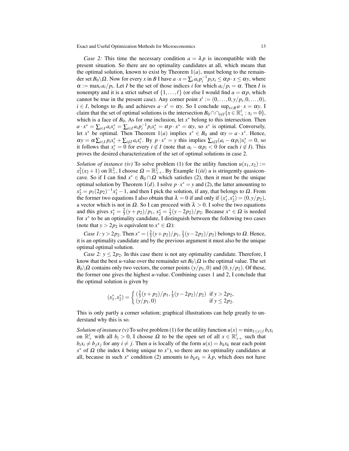*Case 2:* This time the necessary condition  $a = \lambda p$  is incompatible with the present situation. So there are no optimality candidates at all, which means that the optimal solution, known to exist by Theorem  $1(a)$ , must belong to the remainder set  $B_0 \setminus \Omega$ . Now for every *x* in *B* I have  $a \cdot x = \sum_i a_i p_i^{-1} p_i x_i \le \alpha p \cdot x \le \alpha y$ , where  $\alpha := \max_i a_i / p_i$ . Let *I* be the set of those indices *i* for which  $a_i / p_i = \alpha$ . Then *I* is nonempty and it is a strict subset of  $\{1,\ldots,\ell\}$  (or else I would find  $a = \alpha p$ , which cannot be true in the present case). Any corner point  $x^i := (0, \ldots, 0, y/p_i, 0, \ldots, 0)$ ,  $i \in I$ , belongs to  $B_0$  and achieves  $a \cdot x^i = \alpha y$ . So I conclude sup<sub> $x \in B$ </sub>  $a \cdot x = \alpha y$ . I claim that the set of optimal solutions is the intersection  $B_0 \cap \cap_{i \notin I} \{x \in \mathbb{R}_+^{\ell} : x_i = 0\},$ which is a face of  $B_0$ . As for one inclusion, let  $x^*$  belong to this intersection. Then  $a \cdot x^* = \sum_{i \in I} a_i x_i^* = \sum_{i \in I} a_i p_i^{-1} p_i x_i^* = \alpha p \cdot x^* = \alpha y$ , so  $x^*$  is optimal. Conversely, let  $x^*$  be optimal. Then Theorem 1(*a*) implies  $x^* \in B_0$  and  $\alpha y = a \cdot x^*$ . Hence,  $\alpha y = \alpha \sum_{i \in I} p_i x_i^* + \sum_{i \notin I} a_i x_i^*$ . By  $p \cdot x^* = y$  this implies  $\sum_{i \notin I} (a_i - \alpha p_i) x_i^* = 0$ , so *i*t follows that  $x_i^* = 0$  for every  $i \notin I$  (note that  $a_i - \alpha p_i < 0$  for each  $i \notin I$ ). This proves the desired characterization of the set of optimal solutions in case 2.

*Solution of instance (iv)* To solve problem (1) for the utility function  $u(x_1, x_2) :=$  $x_1^2(x_2+1)$  on  $\mathbb{R}^2_+$ , I choose  $\Omega = \mathbb{R}^2_{++}$ . By Example 1(*iii*) *u* is stringently quasiconcave. So if I can find  $x^* \in B_0 \cap \Omega$  which satisfies (2), then it must be the unique optimal solution by Theorem 1(*d*). I solve  $p \cdot x^* = y$  and (2), the latter amounting to  $x_2^* = p_1(2p_2)^{-1}x_1^* - 1$ , and then I pick the solution, if any, that belongs to  $\Omega$ . From the former two equations I also obtain that  $\lambda = 0$  if and only if  $(x_1^*, x_2^*) = (0, y/p_2)$ , a vector which is not in  $\Omega$ . So I can proceed with  $\lambda > 0$ . I solve the two equations and this gives  $x_1^* = \frac{2}{3}(y + p_2)/p_1$ ,  $x_2^* = \frac{1}{3}(y - 2p_2)/p_2$ . Because  $x^* \in \Omega$  is needed for  $x^*$  to be an optimality candidate, I distinguish between the following two cases (note that  $y > 2p_2$  is equivalent to  $x^* \in \Omega$ ):

*Case 1: y* > 2*p*<sub>2</sub>. Then  $x^* = (\frac{2}{3}(y+p_2)/p_1, \frac{1}{3}(y-2p_2)/p_2)$  belongs to Ω. Hence, it is an optimality candidate and by the previous argument it must also be the unique optimal optimal solution.

*Case 2:*  $y \leq 2p_2$ . In this case there is not any optimality candidate. Therefore, I know that the best *u*-value over the remainder set  $B_0 \backslash \Omega$  is the optimal value. The set  $B_0 \setminus \Omega$  contains only two vectors, the corner points  $(y/p_1, 0)$  and  $(0, y/p_2)$ . Of these, the former one gives the highest *u*-value. Combining cases 1 and 2, I conclude that the optimal solution is given by

$$
(x_1^*, x_2^*) = \begin{cases} (\frac{2}{3}(y+p_2)/p_1, \frac{1}{3}(y-2p_2)/p_2) & \text{if } y > 2p_2, \\ (y/p_1, 0) & \text{if } y \le 2p_2. \end{cases}
$$

This is only partly a corner solution; graphical illustrations can help greatly to understand why this is so.

*Solution of instance (v)* To solve problem (1) for the utility function  $u(x) = \min_{1 \le i \le \ell} b_i x_i$ on  $\mathbb{R}^{\ell}_+$  with all  $b_i > 0$ , I choose  $\Omega$  to be the open set of all  $x \in \mathbb{R}^{\ell}_{++}$  such that  $b_i x_i \neq b_j x_j$  for any  $i \neq j$ . Then *u* is locally of the form  $u(x) = b_k x_k$  near each point  $x^*$  of  $\Omega$  (the index *k* being unique to  $x^*$ ), so there are no optimality candidates at all, because in such  $x^*$  condition (2) amounts to  $b_k e_k = \lambda p$ , which does not have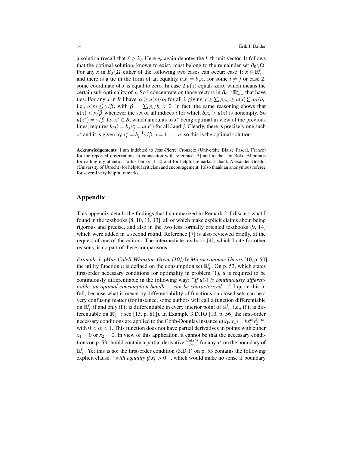a solution (recall that  $\ell \geq 2$ ). Here  $e_k$  again denotes the *k*-th unit vector. It follows that the optimal solution, known to exist, must belong to the remainder set  $B_0\setminus\Omega$ . For any *x* in  $B_0 \backslash \Omega$  either of the following two cases can occur: case 1:  $x \in \mathbb{R}^{\ell}_{++}$ and there is a tie in the form of an equality  $b_i x_i = b_j x_j$  for some  $i \neq j$  or case 2: some coordinate of *x* is equal to zero. In case 2  $u(x)$  equals zero, which means the certain sub-optimality of *x*. So I concentrate on those vectors in  $B_0 \cap \mathbb{R}_{++}^{\ell}$  that have ties. For any x in B I have  $x_i \ge u(x)/b_i$  for all i, giving  $y \ge \sum_i p_i x_i \ge u(x) \sum_i p_i/b_i$ , i.e.,  $u(x) \le y/\beta$ , with  $\beta := \sum_i p_i/b_i > 0$ . In fact, the same reasoning shows that  $u(x) < y/\beta$  whenever the set of all indices *i* for which  $b_i x_i > u(x)$  is nonempty. So  $u(x^*) = y/\beta$  for  $x^* \in B$ , which amounts to  $x^*$  being optimal in view of the previous lines, requires  $b_i x_i^* = b_j x_j^* = u(x^*)$  for all *i* and *j*. Clearly, there is precisely one such  $x^*$  and it is given by  $x_i^* = b_i^{-1} y/\beta$ ,  $i = 1, ..., n$ ; so this is the optimal solution.

Acknowledgements I am indebted to Jean-Pierre Crouzeix (Universite Blaise Pascal, France) ´ for the reported observations in connection with reference [5] and to the late Roko Aliprantis for calling my attention to his books [1, 2] and for helpful remarks. I thank Alexander Gnedin (University of Utrecht) for helpful criticism and encouragement. I also thank an anonymous referee for several very helpful remarks.

### Appendix

This appendix details the findings that I summarized in Remark 2. I discuss what I found in the textbooks [8, 10, 11, 13], all of which make explicit claims about being rigorous and precise, and also in the two less formally oriented textbooks [9, 14] which were added in a second round. Reference [7] is also reviewed briefly, at the request of one of the editors. The intermediate textbook [4], which I cite for other reasons, is no part of these comparisons.

*Example 1. (Mas-Colell-Whinston-Green [10])* In *Microeconomic Theory* [10, p. 50] the utility function *u* is defined on the consumption set  $\mathbb{R}^{\ell}_+$ . On p. 53, which states first-order necessary conditions for optimality in problem (1), *u* is required to be continuously differentiable in the following way: "If  $u(\cdot)$  *is continuously differentiable, an optimal consumption bundle ... can be characterized ..."*. I quote this in full, because what is meant by differentiability of functions on closed sets can be a very confusing matter (for instance, some authors will call a function differentiable on  $\mathbb{R}_+^{\ell}$  if and only if it is differentiable in every interior point of  $\mathbb{R}_+^{\ell}$ , i.e., if it is differentiable on  $\mathbb{R}^{\ell}_{++}$ ; see [13, p. 81]). In Example 3.D.1O [10, p. 56] the first-order necessary conditions are applied to the Cobb-Douglas instance  $u(x_1, x_2) = kx_1^{\alpha}x_2^{1-\alpha}$ , with  $0 < \alpha < 1$ . This function does not have partial derivatives in points with either  $x_1 = 0$  or  $x_2 = 0$ . In view of this application, it cannot be that the necessary conditions on p. 53 should contain a partial derivative  $\frac{\partial u(x^*)}{\partial x_i}$  $\frac{u(x^*)}{dx_i}$  for any  $x^*$  on the boundary of  $\mathbb{R}^{\ell}_+$ . Yet this is so: the first-order condition (3.D.1) on p. 53 contains the following explicit clause *" with equality if*  $x_i^* > 0$  ", which would make no sense if boundary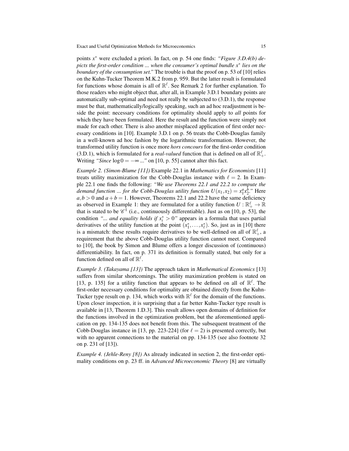points *x* <sup>∗</sup> were excluded a priori. In fact, on p. 54 one finds: *"Figure 3.D.4(b) depicts the first-order condition ... when the consumer's optimal bundle x*<sup>∗</sup> *lies on the boundary of the consumption set."* The trouble is that the proof on p. 53 of [10] relies on the Kuhn-Tucker Theorem M.K.2 from p. 959. But the latter result is formulated for functions whose domain is all of  $\mathbb{R}^{\ell}$ . See Remark 2 for further explanation. To those readers who might object that, after all, in Example 3.D.1 boundary points are automatically sub-optimal and need not really be subjected to (3.D.1), the response must be that, mathematically/logically speaking, such an ad hoc readjustment is beside the point: necessary conditions for optimality should apply to *all* points for which they have been formulated. Here the result and the function were simply not made for each other. There is also another misplaced application of first order necessary conditions in [10]. Example 3.D.1 on p. 56 treats the Cobb-Douglas family in a well-known ad hoc fashion by the logarithmic transformation. However, the transformed utility function is once more *hors concours* for the first-order condition (3.D.1), which is formulated for a *real-valued* function that is defined on all of  $\mathbb{R}^{\ell}_+$ . Writing *"Since*  $log 0 = -\infty$  ..." on [10, p. 55] cannot alter this fact.

*Example 2. (Simon-Blume [11])* Example 22.1 in *Mathematics for Economists* [11] treats utility maximization for the Cobb-Douglas instance with  $\ell = 2$ . In Example 22.1 one finds the following: *"We use Theorems 22.1 and 22.2 to compute the demand function ... for the Cobb-Douglas utility function*  $U(x_1, x_2) = x_1^a x_2^b$ *." Here*  $a, b > 0$  and  $a + b = 1$ . However, Theorems 22.1 and 22.2 have the same deficiency as observed in Example 1: they are formulated for a utility function  $U : \mathbb{R}_+^{\ell} \to \mathbb{R}$ that is stated to be  $\mathcal{C}^1$  (i.e., continuously differentiable). Just as on [10, p. 53], the condition *"... and equality holds if*  $x_i^* > 0$ " appears in a formula that uses partial derivatives of the utility function at the point  $(x_1^*, \ldots, x_\ell^*)$ . So, just as in [10] there is a mismatch: these results require derivatives to be well-defined on all of  $\mathbb{R}^{\ell}_{+}$ , a requirement that the above Cobb-Douglas utility function cannot meet. Compared to [10], the book by Simon and Blume offers a longer discussion of (continuous) differentiability. In fact, on p. 371 its definition is formally stated, but only for a function defined on all of  $\mathbb{R}^{\ell}$ .

*Example 3. (Takayama [13])* The approach taken in *Mathematical Economics* [13] suffers from similar shortcomings. The utility maximization problem is stated on [13, p. 135] for a utility function that appears to be defined on all of  $\mathbb{R}^{\ell}$ . The first-order necessary conditions for optimality are obtained directly from the Kuhn-Tucker type result on p. 134, which works with  $\mathbb{R}^{\ell}$  for the domain of the functions. Upon closer inspection, it is surprising that a far better Kuhn-Tucker type result is available in [13, Theorem 1.D.3]. This result allows open domains of definition for the functions involved in the optimization problem, but the aforementioned application on pp. 134-135 does not benefit from this. The subsequent treatment of the Cobb-Douglas instance in [13, pp. 223-224] (for  $\ell = 2$ ) is presented correctly, but with no apparent connections to the material on pp. 134-135 (see also footnote 32 on p. 231 of [13]).

*Example 4. (Jehle-Reny [8])* As already indicated in section 2, the first-order optimality conditions on p. 23 ff. in *Advanced Microeconomic Theory* [8] are virtually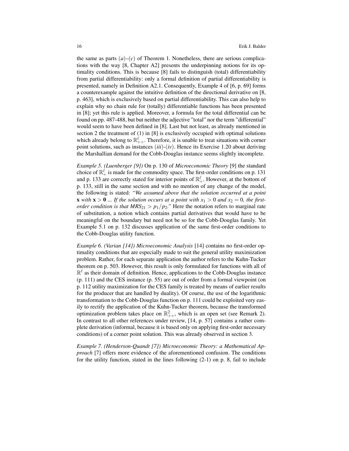the same as parts  $(a)$ – $(c)$  of Theorem 1. Nonetheless, there are serious complications with the way [8, Chapter A2] presents the underpinning notions for its optimality conditions. This is because [8] fails to distinguish (total) differentiability from partial differentiability: only a formal definition of partial differentiability is presented, namely in Definition A2.1. Consequently, Example 4 of [6, p. 69] forms a counterexample against the intuitive definition of the directional derivative on [8, p. 463], which is exclusively based on partial differentiability. This can also help to explain why no chain rule for (totally) differentiable functions has been presented in [8]; yet this rule is applied. Moreover, a formula for the total differential can be found on pp. 487-488, but but neither the adjective "total" nor the term "differential" would seem to have been defined in [8]. Last but not least, as already mentioned in section 2 the treatment of (1) in [8] is exclusively occupied with optimal solutions which already belong to  $\mathbb{R}^{\ell}_{++}$ . Therefore, it is unable to treat situations with corner point solutions, such as instances (*iii*)-(*iv*). Hence its Exercise 1.20 about deriving the Marshallian demand for the Cobb-Douglas instance seems slightly incomplete.

*Example 5. (Luenberger [9])* On p. 130 of *Microeconomic Theory* [9] the standard choice of  $\mathbb{R}^{\ell}_+$  is made for the commodity space. The first-order conditions on p. 131 and p. 133 are correctly stated for interior points of  $\mathbb{R}^{\ell}_+$ . However, at the bottom of p. 133, still in the same section and with no mention of any change of the model, the following is stated: *"We assumed above that the solution occurred at a point* **x** with **x** > 0 ... If the solution occurs at a point with  $x_1 > 0$  and  $x_2 = 0$ , the first*order condition is that*  $MRS_{21} > p_1/p_2$ ." Here the notation refers to marginal rate of substitution, a notion which contains partial derivatives that would have to be meaningful on the boundary but need not be so for the Cobb-Douglas family. Yet Example 5.1 on p. 132 discusses application of the same first-order conditions to the Cobb-Douglas utility function.

*Example 6. (Varian [14]) Microeconomic Analysis* [14] contains no first-order optimality conditions that are especially made to suit the general utility maximization problem. Rather, for each separate application the author refers to the Kuhn-Tucker theorem on p. 503. However, this result is only formulated for functions with all of  $\mathbb{R}^{\ell}$  as their domain of definition. Hence, applications to the Cobb-Douglas instance (p. 111) and the CES instance (p. 55) are out of order from a formal viewpoint (on p. 112 utility maximization for the CES family is treated by means of earlier results for the producer that are handled by duality). Of course, the use of the logarithmic transformation to the Cobb-Douglas function on p. 111 could be exploited very easily to rectify the application of the Kuhn-Tucker theorem, because the transformed optimization problem takes place on  $\mathbb{R}^2_{++}$ , which is an open set (see Remark 2). In contrast to all other references under review, [14, p. 57] contains a rather complete derivation (informal, because it is based only on applying first-order necessary conditions) of a corner point solution. This was already observed in section 3.

*Example 7. (Henderson-Quandt [7]) Microeconomic Theory: a Mathematical Approach* [7] offers more evidence of the aforementioned confusion. The conditions for the utility function, stated in the lines following (2-1) on p. 8, fail to include